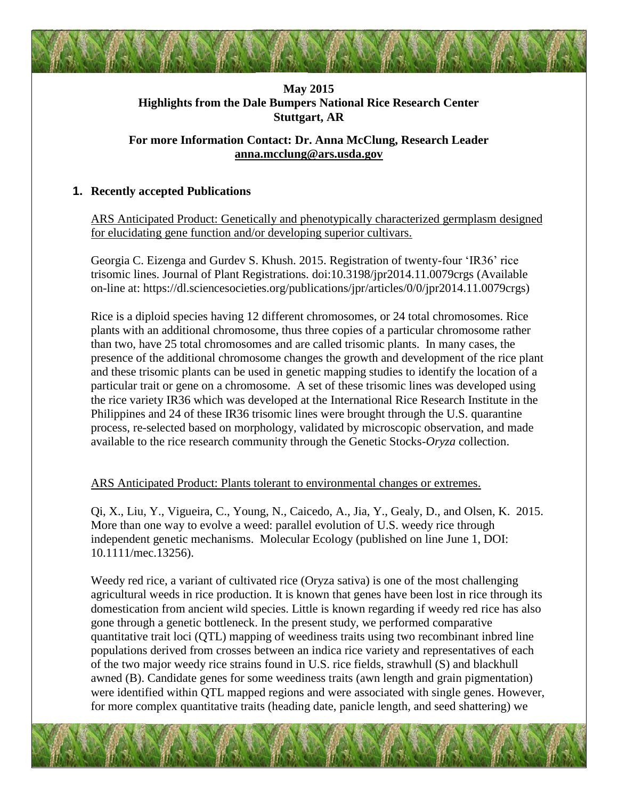# **May 2015 Highlights from the Dale Bumpers National Rice Research Center Stuttgart, AR**

# **For more Information Contact: Dr. Anna McClung, Research Leader [anna.mcclung@ars.usda.gov](mailto:anna.mcclung@ars.usda.gov)**

### **1. Recently accepted Publications**

ARS Anticipated Product: Genetically and phenotypically characterized germplasm designed for elucidating gene function and/or developing superior cultivars.

Georgia C. Eizenga and Gurdev S. Khush. 2015. Registration of twenty-four 'IR36' rice trisomic lines. Journal of Plant Registrations. doi:10.3198/jpr2014.11.0079crgs (Available on-line at: https://dl.sciencesocieties.org/publications/jpr/articles/0/0/jpr2014.11.0079crgs)

Rice is a diploid species having 12 different chromosomes, or 24 total chromosomes. Rice plants with an additional chromosome, thus three copies of a particular chromosome rather than two, have 25 total chromosomes and are called trisomic plants. In many cases, the presence of the additional chromosome changes the growth and development of the rice plant and these trisomic plants can be used in genetic mapping studies to identify the location of a particular trait or gene on a chromosome. A set of these trisomic lines was developed using the rice variety IR36 which was developed at the International Rice Research Institute in the Philippines and 24 of these IR36 trisomic lines were brought through the U.S. quarantine process, re-selected based on morphology, validated by microscopic observation, and made available to the rice research community through the Genetic Stocks-*Oryza* collection.

#### ARS Anticipated Product: Plants tolerant to environmental changes or extremes.

Qi, X., Liu, Y., Vigueira, C., Young, N., Caicedo, A., Jia, Y., Gealy, D., and Olsen, K. 2015. More than one way to evolve a weed: parallel evolution of U.S. weedy rice through independent genetic mechanisms. Molecular Ecology (published on line June 1, DOI: 10.1111/mec.13256).

Weedy red rice, a variant of cultivated rice (Oryza sativa) is one of the most challenging agricultural weeds in rice production. It is known that genes have been lost in rice through its domestication from ancient wild species. Little is known regarding if weedy red rice has also gone through a genetic bottleneck. In the present study, we performed comparative quantitative trait loci (QTL) mapping of weediness traits using two recombinant inbred line populations derived from crosses between an indica rice variety and representatives of each of the two major weedy rice strains found in U.S. rice fields, strawhull (S) and blackhull awned (B). Candidate genes for some weediness traits (awn length and grain pigmentation) were identified within QTL mapped regions and were associated with single genes. However, for more complex quantitative traits (heading date, panicle length, and seed shattering) we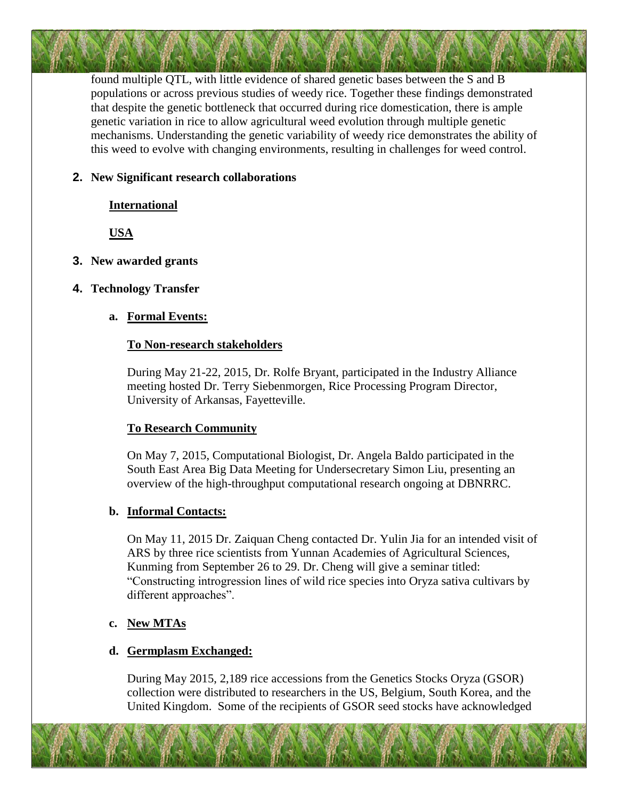found multiple QTL, with little evidence of shared genetic bases between the S and B populations or across previous studies of weedy rice. Together these findings demonstrated that despite the genetic bottleneck that occurred during rice domestication, there is ample genetic variation in rice to allow agricultural weed evolution through multiple genetic mechanisms. Understanding the genetic variability of weedy rice demonstrates the ability of this weed to evolve with changing environments, resulting in challenges for weed control.

#### **2. New Significant research collaborations**

#### **International**

**USA**

**3. New awarded grants**

# **4. Technology Transfer**

### **a. Formal Events:**

#### **To Non-research stakeholders**

During May 21-22, 2015, Dr. Rolfe Bryant, participated in the Industry Alliance meeting hosted Dr. Terry Siebenmorgen, Rice Processing Program Director, University of Arkansas, Fayetteville.

### **To Research Community**

On May 7, 2015, Computational Biologist, Dr. Angela Baldo participated in the South East Area Big Data Meeting for Undersecretary Simon Liu, presenting an overview of the high-throughput computational research ongoing at DBNRRC.

### **b. Informal Contacts:**

On May 11, 2015 Dr. Zaiquan Cheng contacted Dr. Yulin Jia for an intended visit of ARS by three rice scientists from Yunnan Academies of Agricultural Sciences, Kunming from September 26 to 29. Dr. Cheng will give a seminar titled: "Constructing introgression lines of wild rice species into Oryza sativa cultivars by different approaches".

### **c. New MTAs**

### **d. Germplasm Exchanged:**

During May 2015, 2,189 rice accessions from the Genetics Stocks Oryza (GSOR) collection were distributed to researchers in the US, Belgium, South Korea, and the United Kingdom. Some of the recipients of GSOR seed stocks have acknowledged